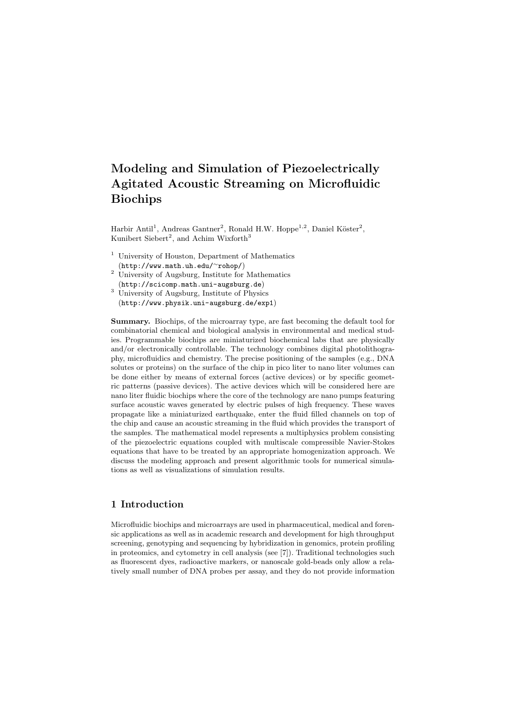# **Modeling and Simulation of Piezoelectrically Agitated Acoustic Streaming on Microfluidic Biochips**

Harbir Antil<sup>1</sup>, Andreas Gantner<sup>2</sup>, Ronald H.W. Hoppe<sup>1,2</sup>, Daniel Köster<sup>2</sup>, Kunibert Siebert<sup>2</sup>, and Achim Wixforth<sup>3</sup>

- <sup>1</sup> University of Houston, Department of Mathematics (http://www.math.uh.edu/∼rohop/)
- <sup>2</sup> University of Augsburg, Institute for Mathematics (http://scicomp.math.uni-augsburg.de)
- <sup>3</sup> University of Augsburg, Institute of Physics (http://www.physik.uni-augsburg.de/exp1)

**Summary.** Biochips, of the microarray type, are fast becoming the default tool for combinatorial chemical and biological analysis in environmental and medical studies. Programmable biochips are miniaturized biochemical labs that are physically and/or electronically controllable. The technology combines digital photolithography, microfluidics and chemistry. The precise positioning of the samples (e.g., DNA solutes or proteins) on the surface of the chip in pico liter to nano liter volumes can be done either by means of external forces (active devices) or by specific geometric patterns (passive devices). The active devices which will be considered here are nano liter fluidic biochips where the core of the technology are nano pumps featuring surface acoustic waves generated by electric pulses of high frequency. These waves propagate like a miniaturized earthquake, enter the fluid filled channels on top of the chip and cause an acoustic streaming in the fluid which provides the transport of the samples. The mathematical model represents a multiphysics problem consisting of the piezoelectric equations coupled with multiscale compressible Navier-Stokes equations that have to be treated by an appropriate homogenization approach. We discuss the modeling approach and present algorithmic tools for numerical simulations as well as visualizations of simulation results.

# **1 Introduction**

Microfluidic biochips and microarrays are used in pharmaceutical, medical and forensic applications as well as in academic research and development for high throughput screening, genotyping and sequencing by hybridization in genomics, protein profiling in proteomics, and cytometry in cell analysis (see [7]). Traditional technologies such as fluorescent dyes, radioactive markers, or nanoscale gold-beads only allow a relatively small number of DNA probes per assay, and they do not provide information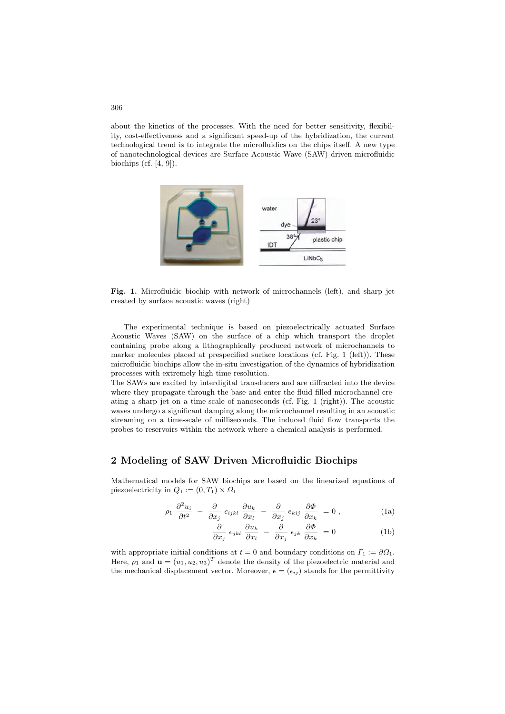about the kinetics of the processes. With the need for better sensitivity, flexibility, cost-effectiveness and a significant speed-up of the hybridization, the current technological trend is to integrate the microfluidics on the chips itself. A new type of nanotechnological devices are Surface Acoustic Wave (SAW) driven microfluidic biochips (cf. [4, 9]).



**Fig. 1.** Microfluidic biochip with network of microchannels (left), and sharp jet created by surface acoustic waves (right)

The experimental technique is based on piezoelectrically actuated Surface Acoustic Waves (SAW) on the surface of a chip which transport the droplet containing probe along a lithographically produced network of microchannels to marker molecules placed at prespecified surface locations (cf. Fig. 1 (left)). These microfluidic biochips allow the in-situ investigation of the dynamics of hybridization processes with extremely high time resolution.

The SAWs are excited by interdigital transducers and are diffracted into the device where they propagate through the base and enter the fluid filled microchannel creating a sharp jet on a time-scale of nanoseconds (cf. Fig. 1 (right)). The acoustic waves undergo a significant damping along the microchannel resulting in an acoustic streaming on a time-scale of milliseconds. The induced fluid flow transports the probes to reservoirs within the network where a chemical analysis is performed.

## **2 Modeling of SAW Driven Microfluidic Biochips**

Mathematical models for SAW biochips are based on the linearized equations of piezoelectricity in  $Q_1 := (0, T_1) \times \Omega_1$ 

$$
\rho_1 \frac{\partial^2 u_i}{\partial t^2} - \frac{\partial}{\partial x_j} c_{ijkl} \frac{\partial u_k}{\partial x_l} - \frac{\partial}{\partial x_j} e_{kij} \frac{\partial \Phi}{\partial x_k} = 0 , \qquad (1a)
$$

$$
\frac{\partial}{\partial x_j} e_{jkl} \frac{\partial u_k}{\partial x_l} - \frac{\partial}{\partial x_j} \epsilon_{jk} \frac{\partial \Phi}{\partial x_k} = 0
$$
 (1b)

with appropriate initial conditions at  $t = 0$  and boundary conditions on  $\Gamma_1 := \partial \Omega_1$ . Here,  $\rho_1$  and  $\mathbf{u} = (u_1, u_2, u_3)^T$  denote the density of the piezoelectric material and the mechanical displacement vector. Moreover,  $\epsilon = (\epsilon_{ij})$  stands for the permittivity

306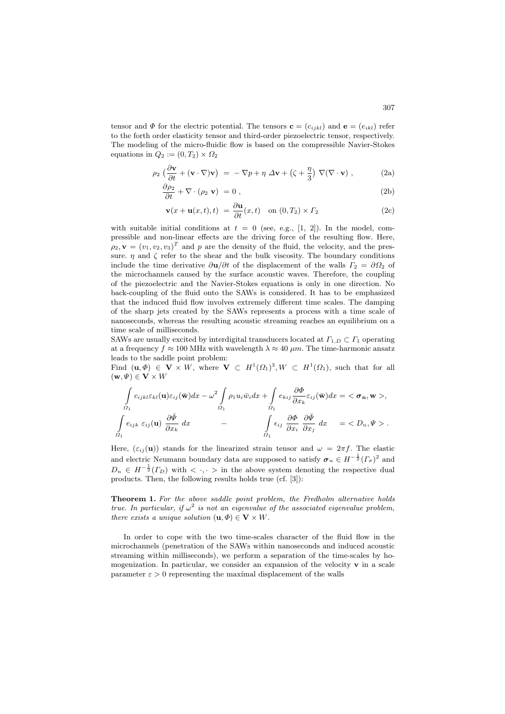tensor and  $\Phi$  for the electric potential. The tensors  $\mathbf{c} = (c_{ijkl})$  and  $\mathbf{e} = (e_{ikl})$  refer to the forth order elasticity tensor and third-order piezoelectric tensor, respectively. The modeling of the micro-fluidic flow is based on the compressible Navier-Stokes equations in  $Q_2 := (0, T_2) \times \Omega_2$ 

$$
\rho_2 \left( \frac{\partial \mathbf{v}}{\partial t} + (\mathbf{v} \cdot \nabla) \mathbf{v} \right) = - \nabla p + \eta \, \Delta \mathbf{v} + \left( \zeta + \frac{\eta}{3} \right) \nabla (\nabla \cdot \mathbf{v}) , \qquad (2a)
$$

$$
\frac{\partial \rho_2}{\partial t} + \nabla \cdot (\rho_2 \mathbf{v}) = 0 , \qquad (2b)
$$

$$
\mathbf{v}(x + \mathbf{u}(x, t), t) = \frac{\partial \mathbf{u}}{\partial t}(x, t) \quad \text{on } (0, T_2) \times \Gamma_2 \tag{2c}
$$

with suitable initial conditions at  $t = 0$  (see, e.g., [1, 2]). In the model, compressible and non-linear effects are the driving force of the resulting flow. Here,  $\rho_2$ ,  $\mathbf{v} = (v_1, v_2, v_3)^T$  and p are the density of the fluid, the velocity, and the pressure.  $\eta$  and  $\zeta$  refer to the shear and the bulk viscosity. The boundary conditions include the time derivative  $\partial$ **u**/ $\partial$ t of the displacement of the walls  $\Gamma_2 = \partial \Omega_2$  of the microchannels caused by the surface acoustic waves. Therefore, the coupling of the piezoelectric and the Navier-Stokes equations is only in one direction. No back-coupling of the fluid onto the SAWs is considered. It has to be emphasized that the induced fluid flow involves extremely different time scales. The damping of the sharp jets created by the SAWs represents a process with a time scale of nanoseconds, whereas the resulting acoustic streaming reaches an equilibrium on a time scale of milliseconds.

SAWs are usually excited by interdigital transducers located at  $\Gamma_{1,D} \subset \Gamma_1$  operating at a frequency  $f \approx 100$  MHz with wavelength  $\lambda \approx 40 \ \mu m$ . The time-harmonic ansatz leads to the saddle point problem:

Find  $(\mathbf{u}, \Phi) \in \mathbf{V} \times W$ , where  $\mathbf{V} \subset H^1(\Omega_1)^3, W \subset H^1(\Omega_1)$ , such that for all  $(\mathbf{w}, \Psi) \in \mathbf{V} \times W$ 

$$
\int_{\Omega_1} c_{ijkl} \varepsilon_{kl}(\mathbf{u}) \varepsilon_{ij}(\bar{\mathbf{w}}) dx - \omega^2 \int_{\Omega_1} \rho_1 u_i \bar{w}_i dx + \int_{\Omega_1} e_{kij} \frac{\partial \Phi}{\partial x_k} \varepsilon_{ij}(\bar{\mathbf{w}}) dx = \langle \sigma_{\mathbf{n}}, \mathbf{w} \rangle,
$$
\n
$$
\int_{\Omega_1} e_{ijk} \varepsilon_{ij}(\mathbf{u}) \frac{\partial \bar{\Psi}}{\partial x_k} dx - \int_{\Omega_1} \varepsilon_{ij} \frac{\partial \Phi}{\partial x_i} \frac{\partial \bar{\Psi}}{\partial x_j} dx = \langle D_n, \Psi \rangle.
$$

Here,  $(\varepsilon_{ij}(\mathbf{u}))$  stands for the linearized strain tensor and  $\omega = 2\pi f$ . The elastic and electric Neumann boundary data are supposed to satisfy  $\sigma_n \in H^{-\frac{1}{2}}(\Gamma_{\sigma})^2$  and  $D_n \in H^{-\frac{1}{2}}(\Gamma_D)$  with  $\langle \cdot, \cdot \rangle$  in the above system denoting the respective dual products. Then, the following results holds true (cf. [3]):

**Theorem 1.** For the above saddle point problem, the Fredholm alternative holds true. In particular, if  $\omega^2$  is not an eigenvalue of the associated eigenvalue problem, there exists a unique solution  $(\mathbf{u}, \Phi) \in \mathbf{V} \times W$ .

In order to cope with the two time-scales character of the fluid flow in the microchannels (penetration of the SAWs within nanoseconds and induced acoustic streaming within milliseconds), we perform a separation of the time-scales by homogenization. In particular, we consider an expansion of the velocity **v** in a scale parameter  $\varepsilon > 0$  representing the maximal displacement of the walls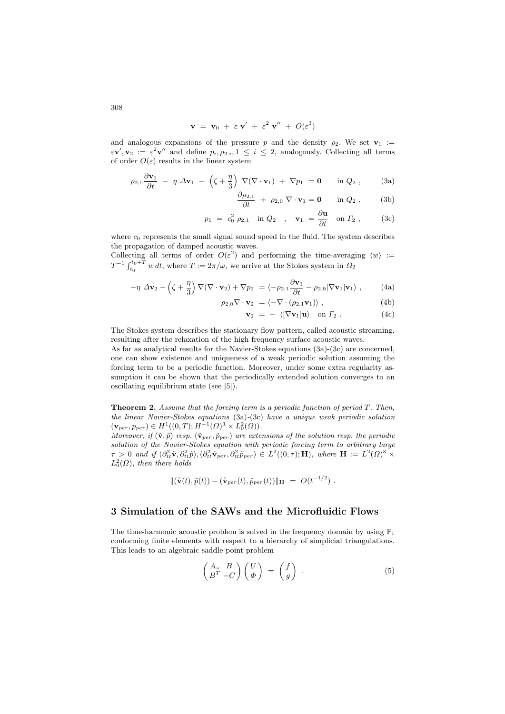$$
\mathbf{v} = \mathbf{v}_0 + \varepsilon \mathbf{v}' + \varepsilon^2 \mathbf{v}'' + O(\varepsilon^3)
$$

and analogous expansions of the pressure p and the density  $\rho_2$ . We set  $\mathbf{v}_1 :=$  $\epsilon \mathbf{v}', \mathbf{v}_2 := \epsilon^2 \mathbf{v}''$  and define  $p_i, \rho_{2,i}, 1 \le i \le 2$ , analogously. Collecting all terms of order  $O(\varepsilon)$  results in the linear system

$$
\rho_{2,0}\frac{\partial \mathbf{v}_1}{\partial t} - \eta \Delta \mathbf{v}_1 - \left(\zeta + \frac{\eta}{3}\right)\nabla(\nabla \cdot \mathbf{v}_1) + \nabla p_1 = \mathbf{0} \quad \text{in } Q_2 , \qquad (3a)
$$

$$
\frac{\partial \rho_{2,1}}{\partial t} + \rho_{2,0} \nabla \cdot \mathbf{v}_1 = \mathbf{0} \quad \text{in } Q_2 , \qquad (3b)
$$

$$
p_1 = c_0^2 \rho_{2,1} \text{ in } Q_2 \quad , \quad \mathbf{v}_1 = \frac{\partial \mathbf{u}}{\partial t} \quad \text{on } \Gamma_2 \; , \tag{3c}
$$

where  $c_0$  represents the small signal sound speed in the fluid. The system describes the propagation of damped acoustic waves.

Collecting all terms of order  $O(\varepsilon^2)$  and performing the time-averaging  $\langle w \rangle :=$  $T^{-1} \int_{t_0}^{t_0+T} w dt$ , where  $T := 2\pi/\omega$ , we arrive at the Stokes system in  $\Omega_2$ 

$$
-\eta \Delta \mathbf{v}_2 - \left(\zeta + \frac{\eta}{3}\right) \nabla (\nabla \cdot \mathbf{v}_2) + \nabla p_2 = \langle -\rho_{2,1} \frac{\partial \mathbf{v}_1}{\partial t} - \rho_{2,0} [\nabla \mathbf{v}_1] \mathbf{v}_1 \rangle , \qquad (4a)
$$

$$
\rho_{2,0}\nabla\cdot\mathbf{v}_2 = \langle -\nabla\cdot(\rho_{2,1}\mathbf{v}_1)\rangle ,\qquad(4b)
$$

$$
\mathbf{v}_2 = - \langle [\nabla \mathbf{v}_1] \mathbf{u} \rangle \quad \text{on } \Gamma_2 . \tag{4c}
$$

The Stokes system describes the stationary flow pattern, called acoustic streaming, resulting after the relaxation of the high frequency surface acoustic waves.

As far as analytical results for the Navier-Stokes equations (3a)-(3c) are concerned, one can show existence and uniqueness of a weak periodic solution assuming the forcing term to be a periodic function. Moreover, under some extra regularity assumption it can be shown that the periodically extended solution converges to an oscillating equilibrium state (see [5]).

**Theorem 2.** Assume that the forcing term is a periodic function of period T. Then, the linear Navier-Stokes equations (3a)-(3c) have a unique weak periodic solution  $(\mathbf{v}_{per}, p_{per}) \in H^1((0,T); H^{-1}(\Omega)^3 \times L_0^2(\Omega)).$ <br>Managyan if  $(\tilde{\alpha}, \tilde{\beta})$  noon  $(\tilde{\alpha}, \tilde{\beta})$  are antes

Moreover, if  $(\tilde{\mathbf{v}}, \tilde{p})$  resp.  $(\tilde{\mathbf{v}}_{per}, \tilde{p}_{per})$  are extensions of the solution resp. the periodic solution of the Navier-Stokes equation with periodic forcing term to arbitrary large  $\tau > 0$  and if  $(\partial_{tt}^2 \tilde{\mathbf{v}}, \partial_{tt}^2 \tilde{p}), (\partial_{tt}^2 \tilde{\mathbf{v}}_{per}, \partial_{tt}^2 \tilde{p}_{per}) \in L^2((0,\tau); \mathbf{H})$ , where  $\mathbf{H} := L^2(\Omega)^3 \times$  $L_0^2(\Omega)$ , then there holds

$$
\|(\tilde{\mathbf{v}}(t),\tilde{p}(t)) - (\tilde{\mathbf{v}}_{per}(t),\tilde{p}_{per}(t))\|_{\mathbf{H}} = O(t^{-1/2}).
$$

#### **3 Simulation of the SAWs and the Microfluidic Flows**

The time-harmonic acoustic problem is solved in the frequency domain by using  $\mathbb{P}_1$ conforming finite elements with respect to a hierarchy of simplicial triangulations. This leads to an algebraic saddle point problem

$$
\begin{pmatrix} A_{\omega} & B \\ B^T & -C \end{pmatrix} \begin{pmatrix} U \\ \varPhi \end{pmatrix} = \begin{pmatrix} f \\ g \end{pmatrix} . \tag{5}
$$

308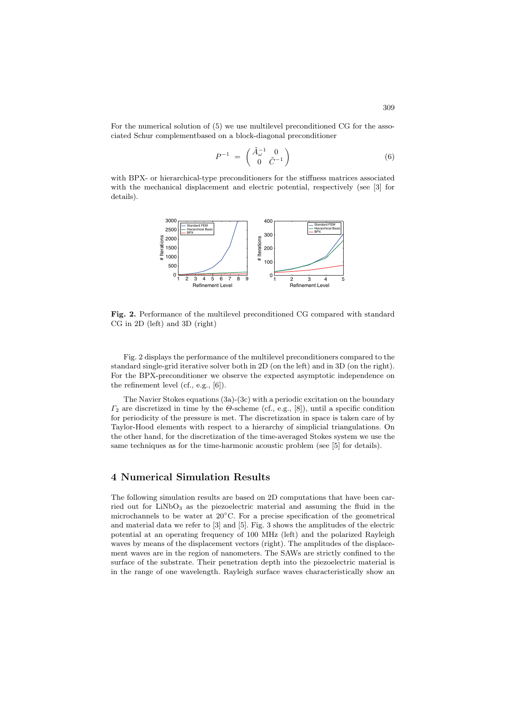For the numerical solution of (5) we use multilevel preconditioned CG for the associated Schur complementbased on a block-diagonal preconditioner

$$
P^{-1} = \begin{pmatrix} \tilde{A}_{\omega}^{-1} & 0\\ 0 & \tilde{C}^{-1} \end{pmatrix} \tag{6}
$$

with BPX- or hierarchical-type preconditioners for the stiffness matrices associated with the mechanical displacement and electric potential, respectively (see [3] for details).



**Fig. 2.** Performance of the multilevel preconditioned CG compared with standard CG in 2D (left) and 3D (right)

Fig. 2 displays the performance of the multilevel preconditioners compared to the standard single-grid iterative solver both in 2D (on the left) and in 3D (on the right). For the BPX-preconditioner we observe the expected asymptotic independence on the refinement level (cf., e.g., [6]).

The Navier Stokes equations (3a)-(3c) with a periodic excitation on the boundary  $\Gamma_2$  are discretized in time by the  $\Theta$ -scheme (cf., e.g., [8]), until a specific condition for periodicity of the pressure is met. The discretization in space is taken care of by Taylor-Hood elements with respect to a hierarchy of simplicial triangulations. On the other hand, for the discretization of the time-averaged Stokes system we use the same techniques as for the time-harmonic acoustic problem (see [5] for details).

## **4 Numerical Simulation Results**

The following simulation results are based on 2D computations that have been carried out for  $LiNbO<sub>3</sub>$  as the piezoelectric material and assuming the fluid in the microchannels to be water at  $20^{\circ}$ C. For a precise specification of the geometrical and material data we refer to [3] and [5]. Fig. 3 shows the amplitudes of the electric potential at an operating frequency of 100 MHz (left) and the polarized Rayleigh waves by means of the displacement vectors (right). The amplitudes of the displacement waves are in the region of nanometers. The SAWs are strictly confined to the surface of the substrate. Their penetration depth into the piezoelectric material is in the range of one wavelength. Rayleigh surface waves characteristically show an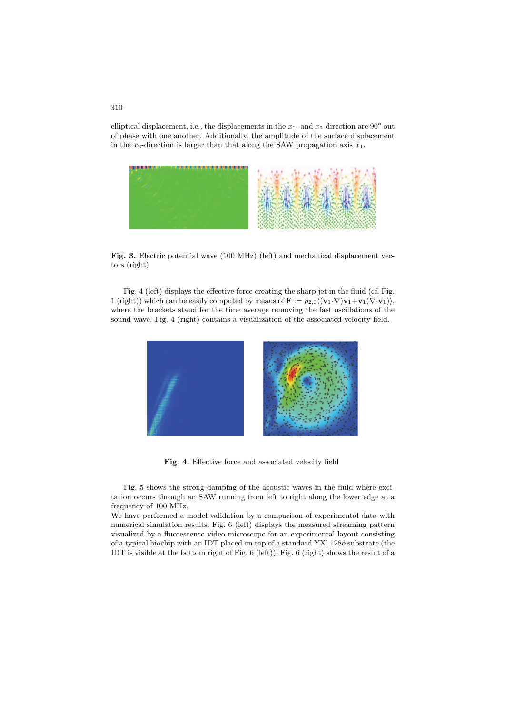elliptical displacement, i.e., the displacements in the  $x_1$ - and  $x_2$ -direction are 90<sup>o</sup> out of phase with one another. Additionally, the amplitude of the surface displacement in the  $x_2$ -direction is larger than that along the SAW propagation axis  $x_1$ .



Fig. 3. Electric potential wave (100 MHz) (left) and mechanical displacement vectors (right)

Fig. 4 (left) displays the effective force creating the sharp jet in the fluid (cf. Fig. 1 (right)) which can be easily computed by means of  $\mathbf{F} := \rho_{2,0} \langle (\mathbf{v}_1 \cdot \nabla) \mathbf{v}_1 + \mathbf{v}_1 (\nabla \cdot \mathbf{v}_1) \rangle$ , where the brackets stand for the time average removing the fast oscillations of the sound wave. Fig. 4 (right) contains a visualization of the associated velocity field.



**Fig. 4.** Effective force and associated velocity field

Fig. 5 shows the strong damping of the acoustic waves in the fluid where excitation occurs through an SAW running from left to right along the lower edge at a frequency of 100 MHz.

We have performed a model validation by a comparison of experimental data with numerical simulation results. Fig. 6 (left) displays the measured streaming pattern visualized by a fluorescence video microscope for an experimental layout consisting of a typical biochip with an IDT placed on top of a standard YXl 128ô substrate (the IDT is visible at the bottom right of Fig. 6 (left)). Fig. 6 (right) shows the result of a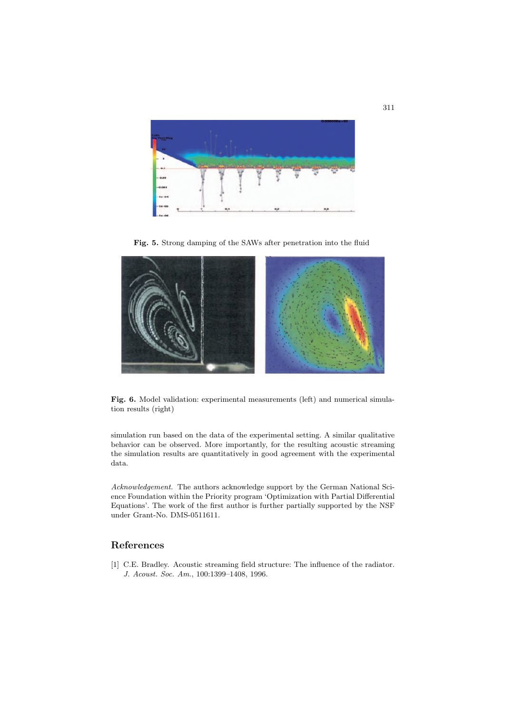

**Fig. 5.** Strong damping of the SAWs after penetration into the fluid



**Fig. 6.** Model validation: experimental measurements (left) and numerical simulation results (right)

simulation run based on the data of the experimental setting. A similar qualitative behavior can be observed. More importantly, for the resulting acoustic streaming the simulation results are quantitatively in good agreement with the experimental data.

Acknowledgement. The authors acknowledge support by the German National Science Foundation within the Priority program 'Optimization with Partial Differential Equations'. The work of the first author is further partially supported by the NSF under Grant-No. DMS-0511611.

### **References**

[1] C.E. Bradley. Acoustic streaming field structure: The influence of the radiator. J. Acoust. Soc. Am., 100:1399–1408, 1996.